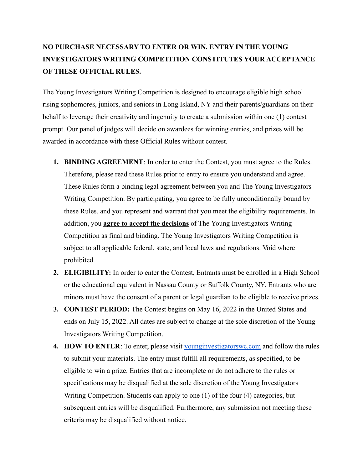## **NO PURCHASE NECESSARY TO ENTER OR WIN. ENTRY IN THE YOUNG INVESTIGATORS WRITING COMPETITION CONSTITUTES YOUR ACCEPTANCE OF THESE OFFICIAL RULES.**

The Young Investigators Writing Competition is designed to encourage eligible high school rising sophomores, juniors, and seniors in Long Island, NY and their parents/guardians on their behalf to leverage their creativity and ingenuity to create a submission within one (1) contest prompt. Our panel of judges will decide on awardees for winning entries, and prizes will be awarded in accordance with these Official Rules without contest.

- **1. BINDING AGREEMENT**: In order to enter the Contest, you must agree to the Rules. Therefore, please read these Rules prior to entry to ensure you understand and agree. These Rules form a binding legal agreement between you and The Young Investigators Writing Competition. By participating, you agree to be fully unconditionally bound by these Rules, and you represent and warrant that you meet the eligibility requirements. In addition, you **agree to accept the decisions** of The Young Investigators Writing Competition as final and binding. The Young Investigators Writing Competition is subject to all applicable federal, state, and local laws and regulations. Void where prohibited.
- **2. ELIGIBILITY:** In order to enter the Contest, Entrants must be enrolled in a High School or the educational equivalent in Nassau County or Suffolk County, NY. Entrants who are minors must have the consent of a parent or legal guardian to be eligible to receive prizes.
- **3. CONTEST PERIOD:** The Contest begins on May 16, 2022 in the United States and ends on July 15, 2022. All dates are subject to change at the sole discretion of the Young Investigators Writing Competition.
- **4. HOW TO ENTER**: To enter, please visit [younginvestigatorswc.com](http://younginvestigatorswc.com) and follow the rules to submit your materials. The entry must fulfill all requirements, as specified, to be eligible to win a prize. Entries that are incomplete or do not adhere to the rules or specifications may be disqualified at the sole discretion of the Young Investigators Writing Competition. Students can apply to one (1) of the four (4) categories, but subsequent entries will be disqualified. Furthermore, any submission not meeting these criteria may be disqualified without notice.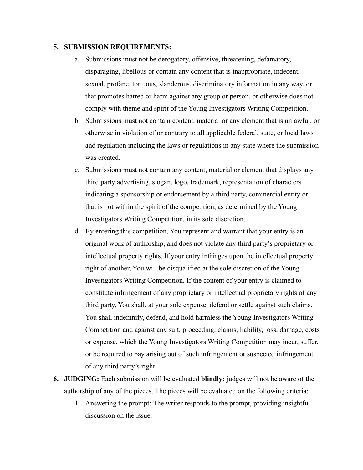## **5. SUBMISSION REQUIREMENTS:**

- a. Submissions must not be derogatory, offensive, threatening, defamatory, disparaging, libellous or contain any content that is inappropriate, indecent, sexual, profane, tortuous, slanderous, discriminatory information in any way, or that promotes hatred or harm against any group or person, or otherwise does not comply with theme and spirit of the Young Investigators Writing Competition.
- b. Submissions must not contain content, material or any element that is unlawful, or otherwise in violation of or contrary to all applicable federal, state, or local laws and regulation including the laws or regulations in any state where the submission was created.
- c. Submissions must not contain any content, material or element that displays any third party advertising, slogan, logo, trademark, representation of characters indicating a sponsorship or endorsement by a third party, commercial entity or that is not within the spirit of the competition, as determined by the Young Investigators Writing Competition, in its sole discretion.
- d. By entering this competition, You represent and warrant that your entry is an original work of authorship, and does not violate any third party's proprietary or intellectual property rights. If your entry infringes upon the intellectual property right of another, You will be disqualified at the sole discretion of the Young Investigators Writing Competition. If the content of your entry is claimed to constitute infringement of any proprietary or intellectual proprietary rights of any third party, You shall, at your sole expense, defend or settle against such claims. You shall indemnify, defend, and hold harmless the Young Investigators Writing Competition and against any suit, proceeding, claims, liability, loss, damage, costs or expense, which the Young Investigators Writing Competition may incur, suffer, or be required to pay arising out of such infringement or suspected infringement of any third party's right.
- **6. JUDGING:** Each submission will be evaluated **blindly;** judges will not be aware of the authorship of any of the pieces. The pieces will be evaluated on the following criteria:
	- 1. Answering the prompt: The writer responds to the prompt, providing insightful discussion on the issue.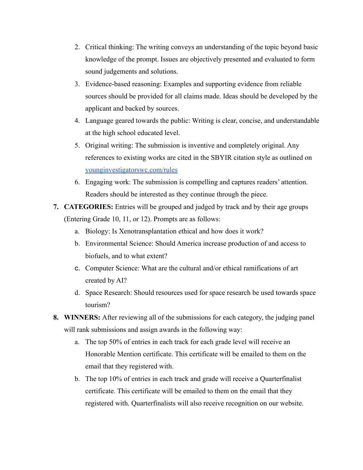- 2. Critical thinking: The writing conveys an understanding of the topic beyond basic knowledge of the prompt. Issues are objectively presented and evaluated to form sound judgements and solutions.
- 3. Evidence-based reasoning: Examples and supporting evidence from reliable sources should be provided for all claims made. Ideas should be developed by the applicant and backed by sources.
- 4. Language geared towards the public: Writing is clear, concise, and understandable at the high school educated level.
- 5. Original writing: The submission is inventive and completely original. Any references to existing works are cited in the SBYIR citation style as outlined on [younginvestigatorswc.com/rules](http://younginvestigatorswc.com/rules)
- 6. Engaging work: The submission is compelling and captures readers' attention. Readers should be interested as they continue through the piece.
- **7. CATEGORIES:** Entries will be grouped and judged by track and by their age groups (Entering Grade 10, 11, or 12). Prompts are as follows:
	- a. Biology: Is Xenotransplantation ethical and how does it work?
	- b. Environmental Science: Should America increase production of and access to biofuels, and to what extent?
	- c. Computer Science: What are the cultural and/or ethical ramifications of art created by AI?
	- d. Space Research: Should resources used for space research be used towards space tourism?
- **8. WINNERS:** After reviewing all of the submissions for each category, the judging panel will rank submissions and assign awards in the following way:
	- a. The top 50% of entries in each track for each grade level will receive an Honorable Mention certificate. This certificate will be emailed to them on the email that they registered with.
	- b. The top 10% of entries in each track and grade will receive a Quarterfinalist certificate. This certificate will be emailed to them on the email that they registered with. Quarterfinalists will also receive recognition on our website.